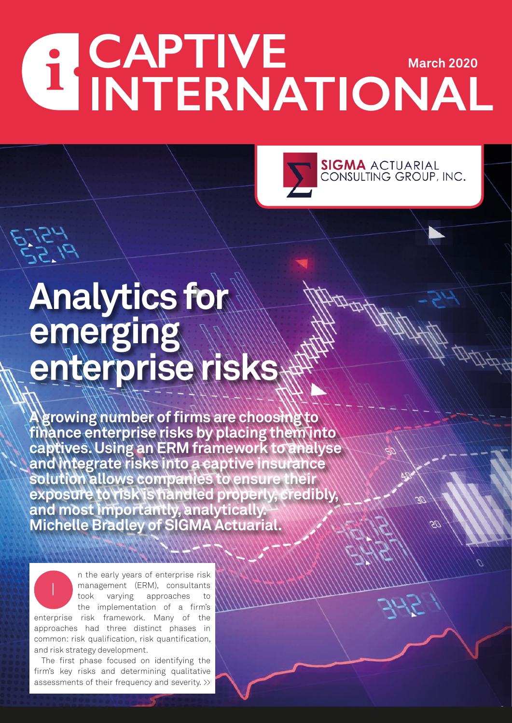# **ACAPTIVE** MARCH 2020



## **Analytics for emerging enterprise risks**

**A growing number of firms are choosing to finance enterprise risks by placing them into captives. Using an ERM framework to analyse and integrate risks into a captive insurance solution allows companies to ensure their exposure to risk is handled properly, credibly, and most importantly, analytically. Michelle Bradley of SIGMA Actuarial.**

n the early years of enterprise risk management (ERM), consultants took varying approaches to the implementation of a firm's enterprise risk framework. Many of the approaches had three distinct phases in common: risk qualification, risk quantification, and risk strategy development.

The first phase focused on identifying the firm's key risks and determining qualitative assessments of their frequency and severity. >>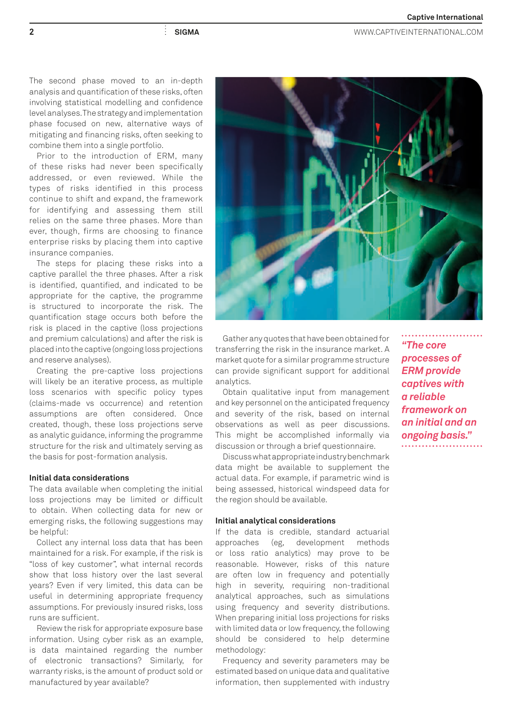**2 SIGMA** WWW.CAPTIVEINTERNATIONAL.COM

The second phase moved to an in-depth analysis and quantification of these risks, often involving statistical modelling and confidence level analyses. The strategy and implementation phase focused on new, alternative ways of mitigating and financing risks, often seeking to combine them into a single portfolio.

Prior to the introduction of ERM, many of these risks had never been specifically addressed, or even reviewed. While the types of risks identified in this process continue to shift and expand, the framework for identifying and assessing them still relies on the same three phases. More than ever, though, firms are choosing to finance enterprise risks by placing them into captive insurance companies.

The steps for placing these risks into a captive parallel the three phases. After a risk is identified, quantified, and indicated to be appropriate for the captive, the programme is structured to incorporate the risk. The quantification stage occurs both before the risk is placed in the captive (loss projections and premium calculations) and after the risk is placed into the captive (ongoing loss projections and reserve analyses).

Creating the pre-captive loss projections will likely be an iterative process, as multiple loss scenarios with specific policy types (claims-made vs occurrence) and retention assumptions are often considered. Once created, though, these loss projections serve as analytic guidance, informing the programme structure for the risk and ultimately serving as the basis for post-formation analysis.

### **Initial data considerations**

The data available when completing the initial loss projections may be limited or difficult to obtain. When collecting data for new or emerging risks, the following suggestions may be helpful:

Collect any internal loss data that has been maintained for a risk. For example, if the risk is "loss of key customer", what internal records show that loss history over the last several years? Even if very limited, this data can be useful in determining appropriate frequency assumptions. For previously insured risks, loss runs are sufficient.

Review the risk for appropriate exposure base information. Using cyber risk as an example, is data maintained regarding the number of electronic transactions? Similarly, for warranty risks, is the amount of product sold or manufactured by year available?



transferring the risk in the insurance market. A market quote for a similar programme structure can provide significant support for additional analytics.

Obtain qualitative input from management and key personnel on the anticipated frequency and severity of the risk, based on internal observations as well as peer discussions. This might be accomplished informally via discussion or through a brief questionnaire.

Discuss what appropriate industry benchmark data might be available to supplement the actual data. For example, if parametric wind is being assessed, historical windspeed data for the region should be available.

## **Initial analytical considerations**

If the data is credible, standard actuarial approaches (eg, development methods or loss ratio analytics) may prove to be reasonable. However, risks of this nature are often low in frequency and potentially high in severity, requiring non-traditional analytical approaches, such as simulations using frequency and severity distributions. When preparing initial loss projections for risks with limited data or low frequency, the following should be considered to help determine methodology:

Frequency and severity parameters may be estimated based on unique data and qualitative information, then supplemented with industry

*"The core processes of ERM provide captives with a reliable framework on an initial and an ongoing basis."*